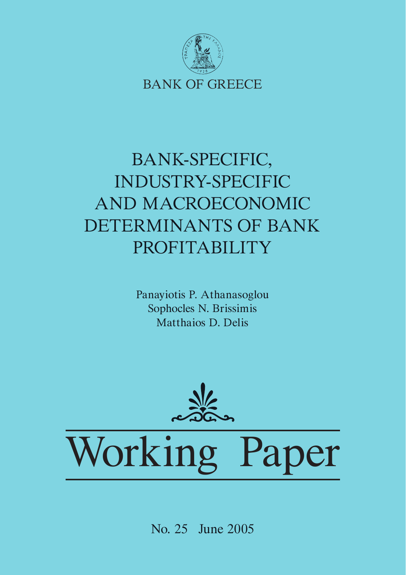

## BANK-SPECIFIC, INDUSTRY-SPECIFIC AND MACROECONOMIC DETERMINANTS OF BANK PROFITABILITY

Panayiotis P. Athanasoglou Sophocles N. Brissimis Matthaios D. Delis



Working Paper

No. 25 June 2005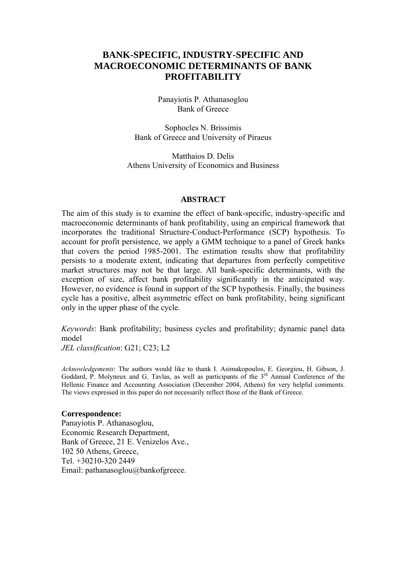## **BANK-SPECIFIC, INDUSTRY-SPECIFIC AND MACROECONOMIC DETERMINANTS OF BANK PROFITABILITY**

Panayiotis P. Athanasoglou Bank of Greece

Sophocles N. Brissimis Bank of Greece and University of Piraeus

Matthaios D. Delis Athens University of Economics and Business

#### **ABSTRACT**

The aim of this study is to examine the effect of bank-specific, industry-specific and macroeconomic determinants of bank profitability, using an empirical framework that incorporates the traditional Structure-Conduct-Performance (SCP) hypothesis. To account for profit persistence, we apply a GMM technique to a panel of Greek banks that covers the period 1985-2001. The estimation results show that profitability persists to a moderate extent, indicating that departures from perfectly competitive market structures may not be that large. All bank-specific determinants, with the exception of size, affect bank profitability significantly in the anticipated way. However, no evidence is found in support of the SCP hypothesis. Finally, the business cycle has a positive, albeit asymmetric effect on bank profitability, being significant only in the upper phase of the cycle.

*Keywords*: Bank profitability; business cycles and profitability; dynamic panel data model *JEL classification*: G21; C23; L2

*Acknowledgements*: The authors would like to thank I. Asimakopoulos, E. Georgiou, H. Gibson, J. Goddard, P. Molyneux and G. Tavlas, as well as participants of the 3<sup>rd</sup> Annual Conference of the Hellenic Finance and Accounting Association (December 2004, Athens) for very helpful comments. The views expressed in this paper do not necessarily reflect those of the Bank of Greece.

#### **Correspondence:**

Panayiotis P. Athanasoglou, Economic Research Department, Bank of Greece, 21 E. Venizelos Ave., 102 50 Athens, Greece, Tel. +30210-320 2449 Email: pathanasoglou@bankofgreece.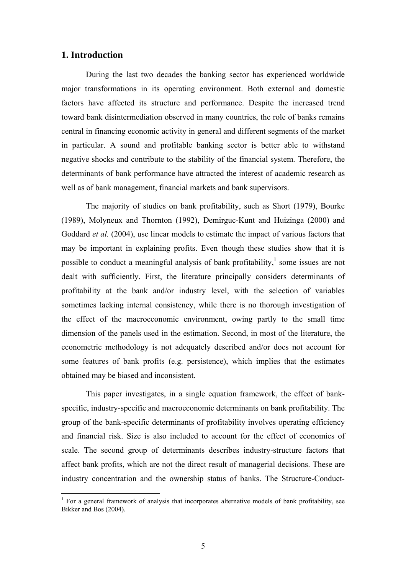## **1. Introduction**

During the last two decades the banking sector has experienced worldwide major transformations in its operating environment. Both external and domestic factors have affected its structure and performance. Despite the increased trend toward bank disintermediation observed in many countries, the role of banks remains central in financing economic activity in general and different segments of the market in particular. A sound and profitable banking sector is better able to withstand negative shocks and contribute to the stability of the financial system. Therefore, the determinants of bank performance have attracted the interest of academic research as well as of bank management, financial markets and bank supervisors.

The majority of studies on bank profitability, such as Short (1979), Bourke (1989), Molyneux and Thornton (1992), Demirguc-Kunt and Huizinga (2000) and Goddard *et al.* (2004), use linear models to estimate the impact of various factors that may be important in explaining profits. Even though these studies show that it is possible to conduct a meaningful analysis of bank profitability, $\frac{1}{2}$  some issues are not dealt with sufficiently. First, the literature principally considers determinants of profitability at the bank and/or industry level, with the selection of variables sometimes lacking internal consistency, while there is no thorough investigation of the effect of the macroeconomic environment, owing partly to the small time dimension of the panels used in the estimation. Second, in most of the literature, the econometric methodology is not adequately described and/or does not account for some features of bank profits (e.g. persistence), which implies that the estimates obtained may be biased and inconsistent.

This paper investigates, in a single equation framework, the effect of bankspecific, industry-specific and macroeconomic determinants on bank profitability. The group of the bank-specific determinants of profitability involves operating efficiency and financial risk. Size is also included to account for the effect of economies of scale. The second group of determinants describes industry-structure factors that affect bank profits, which are not the direct result of managerial decisions. These are industry concentration and the ownership status of banks. The Structure-Conduct-

<span id="page-2-0"></span> 1 For a general framework of analysis that incorporates alternative models of bank profitability, see Bikker and Bos (2004).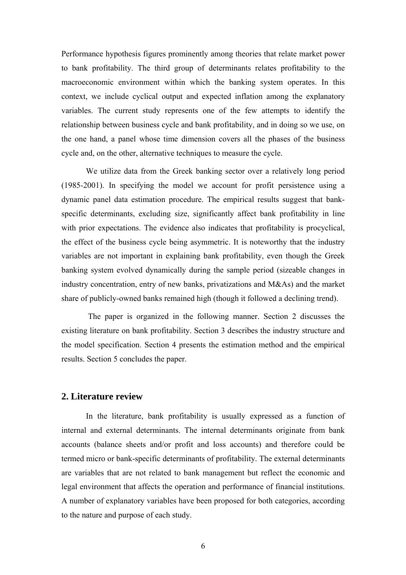Performance hypothesis figures prominently among theories that relate market power to bank profitability. The third group of determinants relates profitability to the macroeconomic environment within which the banking system operates. In this context, we include cyclical output and expected inflation among the explanatory variables. The current study represents one of the few attempts to identify the relationship between business cycle and bank profitability, and in doing so we use, on the one hand, a panel whose time dimension covers all the phases of the business cycle and, on the other, alternative techniques to measure the cycle.

We utilize data from the Greek banking sector over a relatively long period (1985-2001). In specifying the model we account for profit persistence using a dynamic panel data estimation procedure. The empirical results suggest that bankspecific determinants, excluding size, significantly affect bank profitability in line with prior expectations. The evidence also indicates that profitability is procyclical, the effect of the business cycle being asymmetric. It is noteworthy that the industry variables are not important in explaining bank profitability, even though the Greek banking system evolved dynamically during the sample period (sizeable changes in industry concentration, entry of new banks, privatizations and M&As) and the market share of publicly-owned banks remained high (though it followed a declining trend).

The paper is organized in the following manner. Section 2 discusses the existing literature on bank profitability. Section 3 describes the industry structure and the model specification. Section 4 presents the estimation method and the empirical results. Section 5 concludes the paper.

## **2. Literature review**

In the literature, bank profitability is usually expressed as a function of internal and external determinants. The internal determinants originate from bank accounts (balance sheets and/or profit and loss accounts) and therefore could be termed micro or bank-specific determinants of profitability. The external determinants are variables that are not related to bank management but reflect the economic and legal environment that affects the operation and performance of financial institutions. A number of explanatory variables have been proposed for both categories, according to the nature and purpose of each study.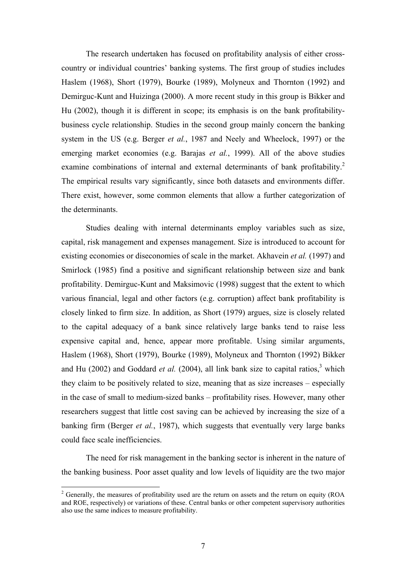The research undertaken has focused on profitability analysis of either crosscountry or individual countries' banking systems. The first group of studies includes Haslem (1968), Short (1979), Bourke (1989), Molyneux and Thornton (1992) and Demirguc-Kunt and Huizinga (2000). A more recent study in this group is Bikker and Hu (2002), though it is different in scope; its emphasis is on the bank profitabilitybusiness cycle relationship. Studies in the second group mainly concern the banking system in the US (e.g. Berger *et al.*, 1987 and Neely and Wheelock, 1997) or the emerging market economies (e.g. Barajas *et al.*, 1999). All of the above studies examine combinations of internal and external determinants of bank profitability.<sup>2</sup> The empirical results vary significantly, since both datasets and environments differ. There exist, however, some common elements that allow a further categorization of the determinants.

Studies dealing with internal determinants employ variables such as size, capital, risk management and expenses management. Size is introduced to account for existing economies or diseconomies of scale in the market. Akhavein *et al.* (1997) and Smirlock (1985) find a positive and significant relationship between size and bank profitability. Demirguc-Kunt and Maksimovic (1998) suggest that the extent to which various financial, legal and other factors (e.g. corruption) affect bank profitability is closely linked to firm size. In addition, as Short (1979) argues, size is closely related to the capital adequacy of a bank since relatively large banks tend to raise less expensive capital and, hence, appear more profitable. Using similar arguments, Haslem (1968), Short (1979), Bourke (1989), Molyneux and Thornton (1992) Bikker and Hu (2002) and Goddard *et al.* (2004), all link bank size to capital ratios,<sup>3</sup> which they claim to be positively related to size, meaning that as size increases – especially in the case of small to medium-sized banks – profitability rises. However, many other researchers suggest that little cost saving can be achieved by increasing the size of a banking firm (Berger *et al.*, 1987), which suggests that eventually very large banks could face scale inefficiencies.

The need for risk management in the banking sector is inherent in the nature of the banking business. Poor asset quality and low levels of liquidity are the two major

<span id="page-4-1"></span><span id="page-4-0"></span> $2^2$  Generally, the measures of profitability used are the return on assets and the return on equity (ROA and ROE, respectively) or variations of these. Central banks or other competent supervisory authorities also use the same indices to measure profitability.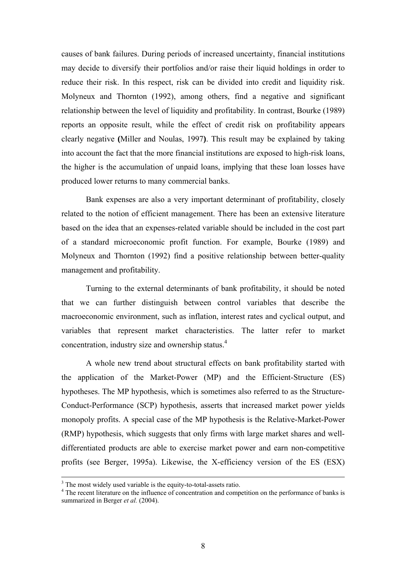causes of bank failures. During periods of increased uncertainty, financial institutions may decide to diversify their portfolios and/or raise their liquid holdings in order to reduce their risk. In this respect, risk can be divided into credit and liquidity risk. Molyneux and Thornton (1992), among others, find a negative and significant relationship between the level of liquidity and profitability. In contrast, Bourke (1989) reports an opposite result, while the effect of credit risk on profitability appears clearly negative **(**Miller and Noulas, 1997**)**. This result may be explained by taking into account the fact that the more financial institutions are exposed to high-risk loans, the higher is the accumulation of unpaid loans, implying that these loan losses have produced lower returns to many commercial banks.

Bank expenses are also a very important determinant of profitability, closely related to the notion of efficient management. There has been an extensive literature based on the idea that an expenses-related variable should be included in the cost part of a standard microeconomic profit function. For example, Bourke (1989) and Molyneux and Thornton (1992) find a positive relationship between better-quality management and profitability.

Turning to the external determinants of bank profitability, it should be noted that we can further distinguish between control variables that describe the macroeconomic environment, such as inflation, interest rates and cyclical output, and variables that represent market characteristics. The latter refer to market concentration, industry size and ownership status.<sup>[4](#page-5-0)</sup>

A whole new trend about structural effects on bank profitability started with the application of the Market-Power (MP) and the Efficient-Structure (ES) hypotheses. The MP hypothesis, which is sometimes also referred to as the Structure-Conduct-Performance (SCP) hypothesis, asserts that increased market power yields monopoly profits. A special case of the MP hypothesis is the Relative-Market-Power (RMP) hypothesis, which suggests that only firms with large market shares and welldifferentiated products are able to exercise market power and earn non-competitive profits (see Berger, 1995a). Likewise, the X-efficiency version of the ES (ESX)

 <sup>3</sup> <sup>3</sup> The most widely used variable is the equity-to-total-assets ratio.

<span id="page-5-0"></span><sup>&</sup>lt;sup>4</sup> The recent literature on the influence of concentration and competition on the performance of banks is summarized in Berger *et al.* (2004).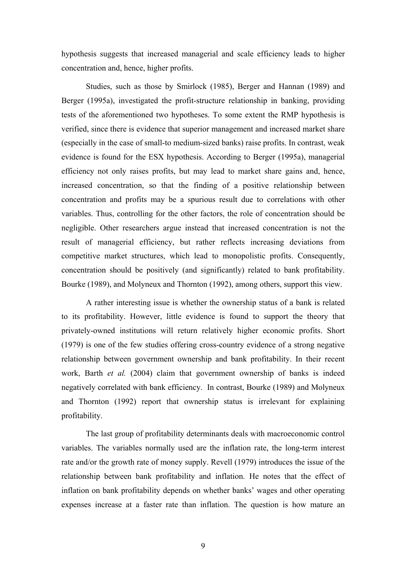hypothesis suggests that increased managerial and scale efficiency leads to higher concentration and, hence, higher profits.

Studies, such as those by Smirlock (1985), Berger and Hannan (1989) and Berger (1995a), investigated the profit-structure relationship in banking, providing tests of the aforementioned two hypotheses. To some extent the RMP hypothesis is verified, since there is evidence that superior management and increased market share (especially in the case of small-to medium-sized banks) raise profits. In contrast, weak evidence is found for the ESX hypothesis. According to Berger (1995a), managerial efficiency not only raises profits, but may lead to market share gains and, hence, increased concentration, so that the finding of a positive relationship between concentration and profits may be a spurious result due to correlations with other variables. Thus, controlling for the other factors, the role of concentration should be negligible. Other researchers argue instead that increased concentration is not the result of managerial efficiency, but rather reflects increasing deviations from competitive market structures, which lead to monopolistic profits. Consequently, concentration should be positively (and significantly) related to bank profitability. Bourke (1989), and Molyneux and Thornton (1992), among others, support this view.

A rather interesting issue is whether the ownership status of a bank is related to its profitability. However, little evidence is found to support the theory that privately-owned institutions will return relatively higher economic profits. Short (1979) is one of the few studies offering cross-country evidence of a strong negative relationship between government ownership and bank profitability. In their recent work, Barth *et al.* (2004) claim that government ownership of banks is indeed negatively correlated with bank efficiency. In contrast, Bourke (1989) and Molyneux and Thornton (1992) report that ownership status is irrelevant for explaining profitability.

The last group of profitability determinants deals with macroeconomic control variables. The variables normally used are the inflation rate, the long-term interest rate and/or the growth rate of money supply. Revell (1979) introduces the issue of the relationship between bank profitability and inflation. He notes that the effect of inflation on bank profitability depends on whether banks' wages and other operating expenses increase at a faster rate than inflation. The question is how mature an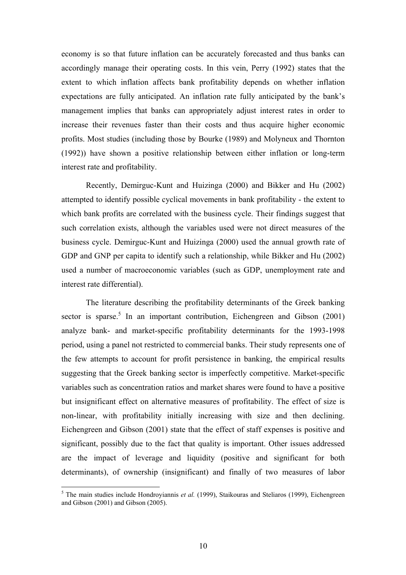economy is so that future inflation can be accurately forecasted and thus banks can accordingly manage their operating costs. In this vein, Perry (1992) states that the extent to which inflation affects bank profitability depends on whether inflation expectations are fully anticipated. An inflation rate fully anticipated by the bank's management implies that banks can appropriately adjust interest rates in order to increase their revenues faster than their costs and thus acquire higher economic profits. Most studies (including those by Bourke (1989) and Molyneux and Thornton (1992)) have shown a positive relationship between either inflation or long-term interest rate and profitability.

Recently, Demirguc-Kunt and Huizinga (2000) and Bikker and Hu (2002) attempted to identify possible cyclical movements in bank profitability - the extent to which bank profits are correlated with the business cycle. Their findings suggest that such correlation exists, although the variables used were not direct measures of the business cycle. Demirguc-Kunt and Huizinga (2000) used the annual growth rate of GDP and GNP per capita to identify such a relationship, while Bikker and Hu (2002) used a number of macroeconomic variables (such as GDP, unemployment rate and interest rate differential).

The literature describing the profitability determinants of the Greek banking sector is sparse.<sup>5</sup> In an important contribution, Eichengreen and Gibson  $(2001)$ analyze bank- and market-specific profitability determinants for the 1993-1998 period, using a panel not restricted to commercial banks. Their study represents one of the few attempts to account for profit persistence in banking, the empirical results suggesting that the Greek banking sector is imperfectly competitive. Market-specific variables such as concentration ratios and market shares were found to have a positive but insignificant effect on alternative measures of profitability. The effect of size is non-linear, with profitability initially increasing with size and then declining. Eichengreen and Gibson (2001) state that the effect of staff expenses is positive and significant, possibly due to the fact that quality is important. Other issues addressed are the impact of leverage and liquidity (positive and significant for both determinants), of ownership (insignificant) and finally of two measures of labor

<span id="page-7-0"></span><sup>&</sup>lt;sup>5</sup> The main studies include Hondroyiannis *et al.* (1999), Staikouras and Steliaros (1999), Eichengreen and Gibson (2001) and Gibson (2005).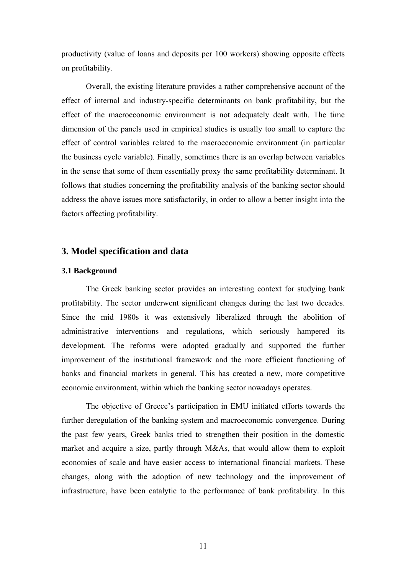productivity (value of loans and deposits per 100 workers) showing opposite effects on profitability.

Overall, the existing literature provides a rather comprehensive account of the effect of internal and industry-specific determinants on bank profitability, but the effect of the macroeconomic environment is not adequately dealt with. The time dimension of the panels used in empirical studies is usually too small to capture the effect of control variables related to the macroeconomic environment (in particular the business cycle variable). Finally, sometimes there is an overlap between variables in the sense that some of them essentially proxy the same profitability determinant. It follows that studies concerning the profitability analysis of the banking sector should address the above issues more satisfactorily, in order to allow a better insight into the factors affecting profitability.

## **3. Model specification and data**

#### **3.1 Background**

The Greek banking sector provides an interesting context for studying bank profitability. The sector underwent significant changes during the last two decades. Since the mid 1980s it was extensively liberalized through the abolition of administrative interventions and regulations, which seriously hampered its development. The reforms were adopted gradually and supported the further improvement of the institutional framework and the more efficient functioning of banks and financial markets in general. This has created a new, more competitive economic environment, within which the banking sector nowadays operates.

The objective of Greece's participation in EMU initiated efforts towards the further deregulation of the banking system and macroeconomic convergence. During the past few years, Greek banks tried to strengthen their position in the domestic market and acquire a size, partly through M&As, that would allow them to exploit economies of scale and have easier access to international financial markets. These changes, along with the adoption of new technology and the improvement of infrastructure, have been catalytic to the performance of bank profitability. In this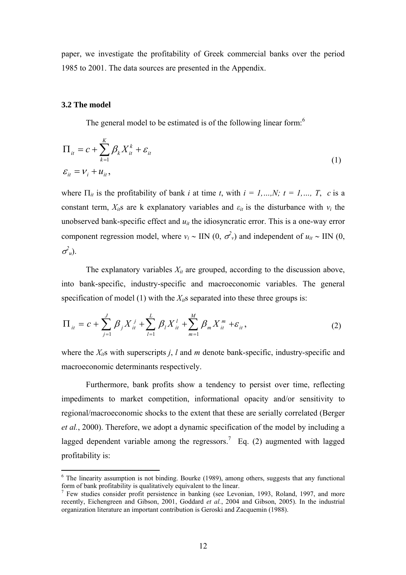paper, we investigate the profitability of Greek commercial banks over the period 1985 to 2001. The data sources are presented in the Appendix.

#### **3.2 The model**

 $\overline{a}$ 

The general model to be estimated is of the following linear form: $6$ 

$$
\Pi_{it} = c + \sum_{k=1}^{K} \beta_k X_{it}^k + \varepsilon_{it}
$$
\n
$$
\varepsilon_{it} = v_i + u_{it},
$$
\n(1)

where  $\Pi_{it}$  is the profitability of bank *i* at time *t*, with  $i = 1,...,N$ ;  $t = 1,..., T$ , *c* is a constant term,  $X_{ii}$ s are k explanatory variables and  $\varepsilon_{it}$  is the disturbance with  $v_i$  the unobserved bank-specific effect and  $u_{it}$  the idiosyncratic error. This is a one-way error component regression model, where  $v_i \sim \text{IIN} (0, \sigma_v^2)$  and independent of  $u_{it} \sim \text{IIN} (0, \sigma_v^2)$  $\sigma^2_{u}$ ).

The explanatory variables  $X_{it}$  are grouped, according to the discussion above, into bank-specific, industry-specific and macroeconomic variables. The general specification of model (1) with the  $X_{it}$ s separated into these three groups is:

$$
\Pi_{it} = c + \sum_{j=1}^{J} \beta_j X_{it}^j + \sum_{l=1}^{L} \beta_l X_{it}^l + \sum_{m=1}^{M} \beta_m X_{it}^m + \varepsilon_{it},
$$
\n(2)

where the  $X_{ik}$ s with superscripts *j*, *l* and *m* denote bank-specific, industry-specific and macroeconomic determinants respectively.

 Furthermore, bank profits show a tendency to persist over time, reflecting impediments to market competition, informational opacity and/or sensitivity to regional/macroeconomic shocks to the extent that these are serially correlated (Berger *et al.*, 2000). Therefore, we adopt a dynamic specification of the model by including a laggeddependent variable among the regressors.<sup>7</sup> Eq. (2) augmented with lagged profitability is:

<span id="page-9-0"></span> $6$  The linearity assumption is not binding. Bourke (1989), among others, suggests that any functional form of bank profitability is qualitatively equivalent to the linear.

<span id="page-9-1"></span> $7$  Few studies consider profit persistence in banking (see Levonian, 1993, Roland, 1997, and more recently, Eichengreen and Gibson, 2001, Goddard *et al.*, 2004 and Gibson, 2005). In the industrial organization literature an important contribution is Geroski and Zacquemin (1988).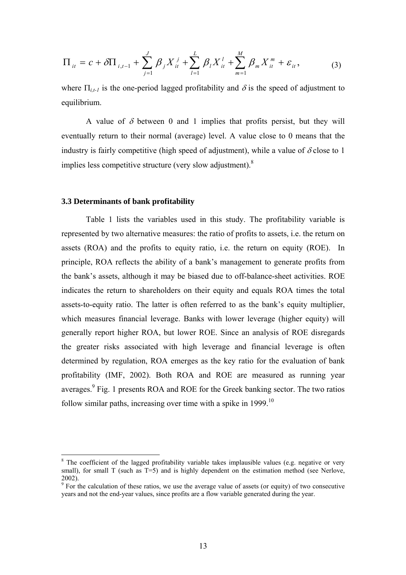$$
\Pi_{it} = c + \delta \Pi_{i,t-1} + \sum_{j=1}^{J} \beta_j X_{it}^j + \sum_{l=1}^{L} \beta_l X_{it}^l + \sum_{m=1}^{M} \beta_m X_{it}^m + \varepsilon_{it},
$$
 (3)

where  $\Pi_{i,t-1}$  is the one-period lagged profitability and  $\delta$  is the speed of adjustment to equilibrium.

A value of  $\delta$  between 0 and 1 implies that profits persist, but they will eventually return to their normal (average) level. A value close to 0 means that the industry is fairly competitive (high speed of adjustment), while a value of  $\delta$  close to 1 impliesless competitive structure (very slow adjustment). $8$ 

#### **3.3 Determinants of bank profitability**

<span id="page-10-2"></span> $\overline{a}$ 

Table 1 lists the variables used in this study. The profitability variable is represented by two alternative measures: the ratio of profits to assets, i.e. the return on assets (ROA) and the profits to equity ratio, i.e. the return on equity (ROE). In principle, ROA reflects the ability of a bank's management to generate profits from the bank's assets, although it may be biased due to off-balance-sheet activities. ROE indicates the return to shareholders on their equity and equals ROA times the total assets-to-equity ratio. The latter is often referred to as the bank's equity multiplier, which measures financial leverage. Banks with lower leverage (higher equity) will generally report higher ROA, but lower ROE. Since an analysis of ROE disregards the greater risks associated with high leverage and financial leverage is often determined by regulation, ROA emerges as the key ratio for the evaluation of bank profitability (IMF, 2002). Both ROA and ROE are measured as running year averages.<sup>9</sup>Fig. 1 presents ROA and ROE for the Greek banking sector. The two ratios follow similar paths, increasing over time with a spike in 1999.<sup>[10](#page-10-2)</sup>

<span id="page-10-0"></span> $8$  The coefficient of the lagged profitability variable takes implausible values (e.g. negative or very small), for small T (such as T=5) and is highly dependent on the estimation method (see Nerlove, 2002).

<span id="page-10-1"></span> $9^9$  For the calculation of these ratios, we use the average value of assets (or equity) of two consecutive years and not the end-year values, since profits are a flow variable generated during the year.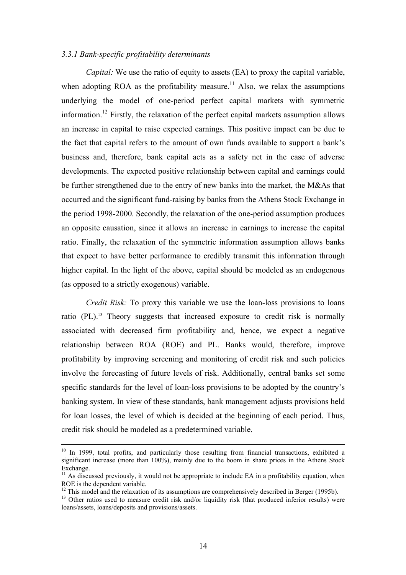#### *3.3.1 Bank-specific profitability determinants*

*Capital:* We use the ratio of equity to assets (EA) to proxy the capital variable. when adopting ROA as the profitability measure.<sup>11</sup> Also, we relax the assumptions underlying the model of one-period perfect capital markets with symmetric information.[12](#page-11-1) Firstly, the relaxation of the perfect capital markets assumption allows an increase in capital to raise expected earnings. This positive impact can be due to the fact that capital refers to the amount of own funds available to support a bank's business and, therefore, bank capital acts as a safety net in the case of adverse developments. The expected positive relationship between capital and earnings could be further strengthened due to the entry of new banks into the market, the M&As that occurred and the significant fund-raising by banks from the Athens Stock Exchange in the period 1998-2000. Secondly, the relaxation of the one-period assumption produces an opposite causation, since it allows an increase in earnings to increase the capital ratio. Finally, the relaxation of the symmetric information assumption allows banks that expect to have better performance to credibly transmit this information through higher capital. In the light of the above, capital should be modeled as an endogenous (as opposed to a strictly exogenous) variable.

*Credit Risk:* To proxy this variable we use the loan-loss provisions to loans ratio (PL).<sup>13</sup> Theory suggests that increased exposure to credit risk is normally associated with decreased firm profitability and, hence, we expect a negative relationship between ROA (ROE) and PL. Banks would, therefore, improve profitability by improving screening and monitoring of credit risk and such policies involve the forecasting of future levels of risk. Additionally, central banks set some specific standards for the level of loan-loss provisions to be adopted by the country's banking system. In view of these standards, bank management adjusts provisions held for loan losses, the level of which is decided at the beginning of each period. Thus, credit risk should be modeled as a predetermined variable.

<sup>&</sup>lt;sup>10</sup> In 1999, total profits, and particularly those resulting from financial transactions, exhibited a significant increase (more than 100%), mainly due to the boom in share prices in the Athens Stock

<span id="page-11-0"></span>Exchange.<br><sup>11</sup> As discussed previously, it would not be appropriate to include EA in a profitability equation, when<br>ROE is the dependent variable.

<span id="page-11-1"></span> $^{12}$  This model and the relaxation of its assumptions are comprehensively described in Berger (1995b).<br><sup>13</sup> Other ratios used to measure credit risk and/or liquidity risk (that produced inferior results) were

<span id="page-11-2"></span>loans/assets, loans/deposits and provisions/assets.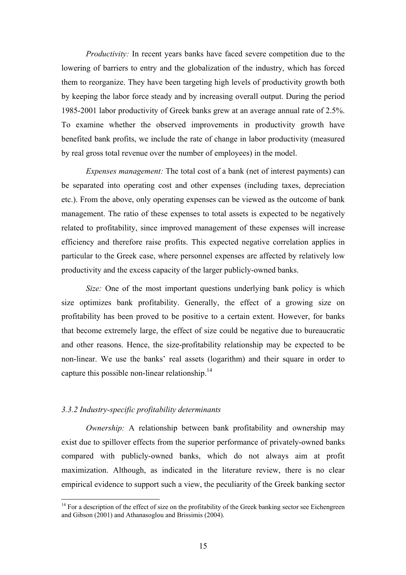*Productivity:* In recent years banks have faced severe competition due to the lowering of barriers to entry and the globalization of the industry, which has forced them to reorganize. They have been targeting high levels of productivity growth both by keeping the labor force steady and by increasing overall output. During the period 1985-2001 labor productivity of Greek banks grew at an average annual rate of 2.5%. To examine whether the observed improvements in productivity growth have benefited bank profits, we include the rate of change in labor productivity (measured by real gross total revenue over the number of employees) in the model.

*Expenses management:* The total cost of a bank (net of interest payments) can be separated into operating cost and other expenses (including taxes, depreciation etc.). From the above, only operating expenses can be viewed as the outcome of bank management. The ratio of these expenses to total assets is expected to be negatively related to profitability, since improved management of these expenses will increase efficiency and therefore raise profits. This expected negative correlation applies in particular to the Greek case, where personnel expenses are affected by relatively low productivity and the excess capacity of the larger publicly-owned banks.

*Size:* One of the most important questions underlying bank policy is which size optimizes bank profitability. Generally, the effect of a growing size on profitability has been proved to be positive to a certain extent. However, for banks that become extremely large, the effect of size could be negative due to bureaucratic and other reasons. Hence, the size-profitability relationship may be expected to be non-linear. We use the banks' real assets (logarithm) and their square in order to capture this possible non-linear relationship. $^{14}$ 

## *3.3.2 Industry-specific profitability determinants*

 $\overline{a}$ 

*Ownership:* A relationship between bank profitability and ownership may exist due to spillover effects from the superior performance of privately-owned banks compared with publicly-owned banks, which do not always aim at profit maximization. Although, as indicated in the literature review, there is no clear empirical evidence to support such a view, the peculiarity of the Greek banking sector

<span id="page-12-0"></span><sup>&</sup>lt;sup>14</sup> For a description of the effect of size on the profitability of the Greek banking sector see Eichengreen and Gibson (2001) and Athanasoglou and Brissimis (2004).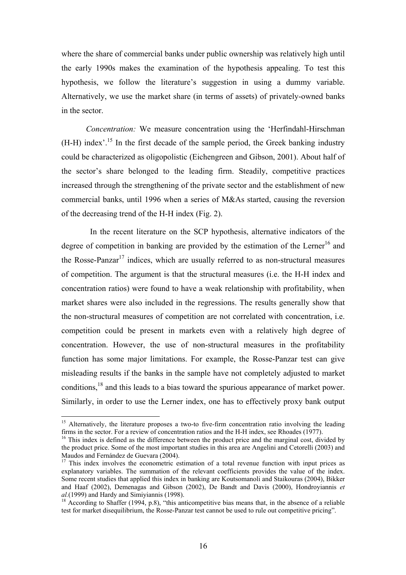where the share of commercial banks under public ownership was relatively high until the early 1990s makes the examination of the hypothesis appealing. To test this hypothesis, we follow the literature's suggestion in using a dummy variable. Alternatively, we use the market share (in terms of assets) of privately-owned banks in the sector.

*Concentration:* We measure concentration using the 'Herfindahl-Hirschman  $(H-H)$  index'.<sup>15</sup> In the first decade of the sample period, the Greek banking industry could be characterized as oligopolistic (Eichengreen and Gibson, 2001). About half of the sector's share belonged to the leading firm. Steadily, competitive practices increased through the strengthening of the private sector and the establishment of new commercial banks, until 1996 when a series of M&As started, causing the reversion of the decreasing trend of the H-H index (Fig. 2).

In the recent literature on the SCP hypothesis, alternative indicators of the degree of competition in banking are provided by the estimation of the Lerner<sup>16</sup> and the Rosse-Panzar<sup>17</sup> indices, which are usually referred to as non-structural measures of competition. The argument is that the structural measures (i.e. the H-H index and concentration ratios) were found to have a weak relationship with profitability, when market shares were also included in the regressions. The results generally show that the non-structural measures of competition are not correlated with concentration, i.e. competition could be present in markets even with a relatively high degree of concentration. However, the use of non-structural measures in the profitability function has some major limitations. For example, the Rosse-Panzar test can give misleading results if the banks in the sample have not completely adjusted to market conditions[,18](#page-13-3) and this leads to a bias toward the spurious appearance of market power. Similarly, in order to use the Lerner index, one has to effectively proxy bank output

<span id="page-13-0"></span><sup>&</sup>lt;sup>15</sup> Alternatively, the literature proposes a two-to five-firm concentration ratio involving the leading firms in the sector. For a review of concentration ratios and the H-H index, see Rhoades (1977).  $16$  This index is defined as the difference between the product price and the marginal cost, divided by

<span id="page-13-1"></span>the product price. Some of the most important studies in this area are Angelini and Cetorelli (2003) and Maudos and Fernández de Guevara (2004).

<span id="page-13-2"></span> $17$  This index involves the econometric estimation of a total revenue function with input prices as explanatory variables. The summation of the relevant coefficients provides the value of the index. Some recent studies that applied this index in banking are Koutsomanoli and Staikouras (2004), Bikker and Haaf (2002), Demenagas and Gibson (2002), De Bandt and Davis (2000), Hondroyiannis *et* 

<span id="page-13-3"></span>*al.*(1999) and Hardy and Simiyiannis (1998).<br><sup>18</sup> According to Shaffer (1994, p.8), "this anticompetitive bias means that, in the absence of a reliable test for market disequilibrium, the Rosse-Panzar test cannot be used to rule out competitive pricing".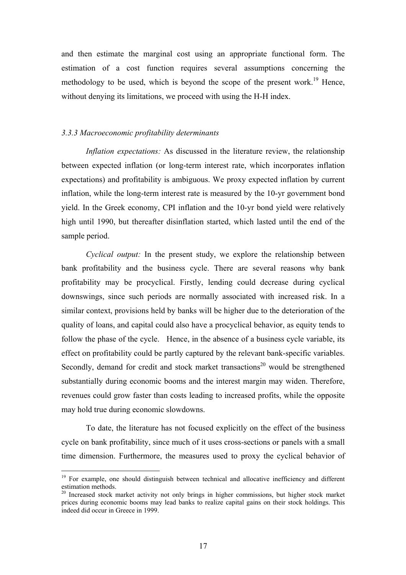and then estimate the marginal cost using an appropriate functional form. The estimation of a cost function requires several assumptions concerning the methodology to be used, which is beyond the scope of the present work.<sup>19</sup> Hence, without denying its limitations, we proceed with using the H-H index.

#### *3.3.3 Macroeconomic profitability determinants*

*Inflation expectations:* As discussed in the literature review, the relationship between expected inflation (or long-term interest rate, which incorporates inflation expectations) and profitability is ambiguous. We proxy expected inflation by current inflation, while the long-term interest rate is measured by the 10-yr government bond yield. In the Greek economy, CPI inflation and the 10-yr bond yield were relatively high until 1990, but thereafter disinflation started, which lasted until the end of the sample period.

*Cyclical output:* In the present study, we explore the relationship between bank profitability and the business cycle. There are several reasons why bank profitability may be procyclical. Firstly, lending could decrease during cyclical downswings, since such periods are normally associated with increased risk. In a similar context, provisions held by banks will be higher due to the deterioration of the quality of loans, and capital could also have a procyclical behavior, as equity tends to follow the phase of the cycle. Hence, in the absence of a business cycle variable, its effect on profitability could be partly captured by the relevant bank-specific variables. Secondly, demand for credit and stock market transactions<sup>20</sup> would be strengthened substantially during economic booms and the interest margin may widen. Therefore, revenues could grow faster than costs leading to increased profits, while the opposite may hold true during economic slowdowns.

To date, the literature has not focused explicitly on the effect of the business cycle on bank profitability, since much of it uses cross-sections or panels with a small time dimension. Furthermore, the measures used to proxy the cyclical behavior of

<span id="page-14-0"></span><sup>&</sup>lt;sup>19</sup> For example, one should distinguish between technical and allocative inefficiency and different estimation methods.<br><sup>20</sup> Increased stock market activity not only brings in higher commissions, but higher stock market

<span id="page-14-1"></span>prices during economic booms may lead banks to realize capital gains on their stock holdings. This indeed did occur in Greece in 1999.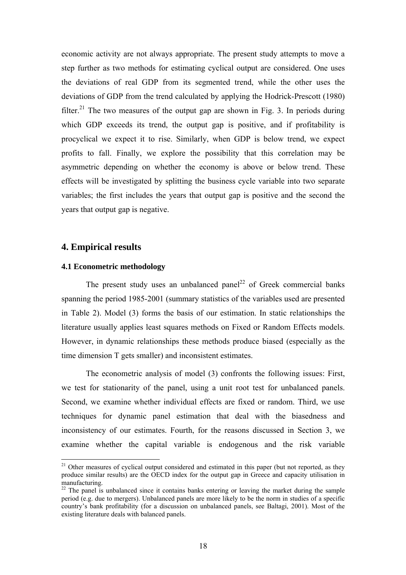economic activity are not always appropriate. The present study attempts to move a step further as two methods for estimating cyclical output are considered. One uses the deviations of real GDP from its segmented trend, while the other uses the deviations of GDP from the trend calculated by applying the Hodrick-Prescott (1980) filter.<sup>21</sup> The two measures of the output gap are shown in Fig. 3. In periods during which GDP exceeds its trend, the output gap is positive, and if profitability is procyclical we expect it to rise. Similarly, when GDP is below trend, we expect profits to fall. Finally, we explore the possibility that this correlation may be asymmetric depending on whether the economy is above or below trend. These effects will be investigated by splitting the business cycle variable into two separate variables; the first includes the years that output gap is positive and the second the years that output gap is negative.

## **4. Empirical results**

 $\overline{a}$ 

#### **4.1 Econometric methodology**

The present study uses an unbalanced panel<sup>22</sup> of Greek commercial banks spanning the period 1985-2001 (summary statistics of the variables used are presented in Table 2). Model (3) forms the basis of our estimation. In static relationships the literature usually applies least squares methods on Fixed or Random Effects models. However, in dynamic relationships these methods produce biased (especially as the time dimension T gets smaller) and inconsistent estimates.

The econometric analysis of model (3) confronts the following issues: First, we test for stationarity of the panel, using a unit root test for unbalanced panels. Second, we examine whether individual effects are fixed or random. Third, we use techniques for dynamic panel estimation that deal with the biasedness and inconsistency of our estimates. Fourth, for the reasons discussed in Section 3, we examine whether the capital variable is endogenous and the risk variable

<span id="page-15-0"></span> $21$  Other measures of cyclical output considered and estimated in this paper (but not reported, as they produce similar results) are the OECD index for the output gap in Greece and capacity utilisation in manufacturing.<br><sup>22</sup> The panel is unbalanced since it contains banks entering or leaving the market during the sample

<span id="page-15-1"></span>period (e.g. due to mergers). Unbalanced panels are more likely to be the norm in studies of a specific country's bank profitability (for a discussion on unbalanced panels, see Baltagi, 2001). Most of the existing literature deals with balanced panels.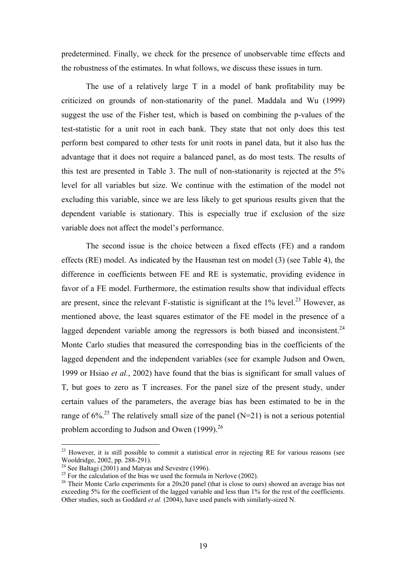predetermined. Finally, we check for the presence of unobservable time effects and the robustness of the estimates. In what follows, we discuss these issues in turn.

The use of a relatively large T in a model of bank profitability may be criticized on grounds of non-stationarity of the panel. Maddala and Wu (1999) suggest the use of the Fisher test, which is based on combining the p-values of the test-statistic for a unit root in each bank. They state that not only does this test perform best compared to other tests for unit roots in panel data, but it also has the advantage that it does not require a balanced panel, as do most tests. The results of this test are presented in Table 3. The null of non-stationarity is rejected at the 5% level for all variables but size. We continue with the estimation of the model not excluding this variable, since we are less likely to get spurious results given that the dependent variable is stationary. This is especially true if exclusion of the size variable does not affect the model's performance.

The second issue is the choice between a fixed effects (FE) and a random effects (RE) model. As indicated by the Hausman test on model (3) (see Table 4), the difference in coefficients between FE and RE is systematic, providing evidence in favor of a FE model. Furthermore, the estimation results show that individual effects are present, since the relevant F-statistic is significant at the  $1\%$  level.<sup>23</sup> However, as mentioned above, the least squares estimator of the FE model in the presence of a lagged dependent variable among the regressors is both biased and inconsistent.<sup>[24](#page-16-1)</sup> Monte Carlo studies that measured the corresponding bias in the coefficients of the lagged dependent and the independent variables (see for example Judson and Owen, 1999 or Hsiao *et al.*, 2002) have found that the bias is significant for small values of T, but goes to zero as T increases. For the panel size of the present study, under certain values of the parameters, the average bias has been estimated to be in the range of  $6\%$ <sup>25</sup>. The relatively small size of the panel (N=21) is not a serious potential problem according to Judson and Owen (1999).<sup>26</sup>

<span id="page-16-0"></span> $2<sup>23</sup>$  However, it is still possible to commit a statistical error in rejecting RE for various reasons (see Wooldridge, 2002, pp. 288-291).<br><sup>24</sup> See Baltagi (2001) and Matyas and Sevestre (1996).<br><sup>25</sup> For the calculation of the bias we used the formula in Nerlove (2002).<br><sup>26</sup> Their Monte Carlo experiments for a 20x20 panel (tha

<span id="page-16-1"></span>

<span id="page-16-2"></span>

<span id="page-16-3"></span>exceeding 5% for the coefficient of the lagged variable and less than 1% for the rest of the coefficients. Other studies, such as Goddard *et al.* (2004), have used panels with similarly-sized N.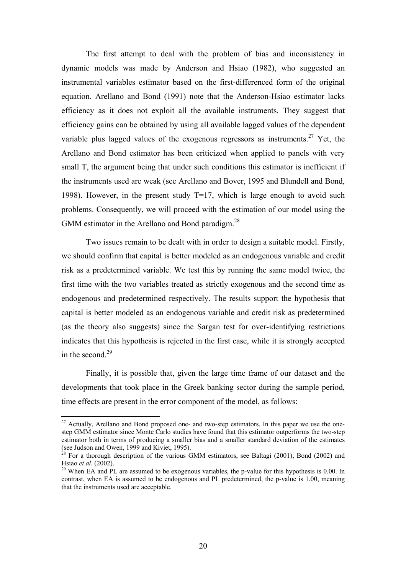The first attempt to deal with the problem of bias and inconsistency in dynamic models was made by Anderson and Hsiao (1982), who suggested an instrumental variables estimator based on the first-differenced form of the original equation. Arellano and Bond (1991) note that the Anderson-Hsiao estimator lacks efficiency as it does not exploit all the available instruments. They suggest that efficiency gains can be obtained by using all available lagged values of the dependent variable plus lagged values of the exogenous regressors as instruments.<sup>27</sup> Yet, the Arellano and Bond estimator has been criticized when applied to panels with very small T, the argument being that under such conditions this estimator is inefficient if the instruments used are weak (see Arellano and Bover, 1995 and Blundell and Bond, 1998). However, in the present study  $T=17$ , which is large enough to avoid such problems. Consequently, we will proceed with the estimation of our model using the GMM estimator in the Arellano and Bond paradigm. $^{28}$ 

Two issues remain to be dealt with in order to design a suitable model. Firstly, we should confirm that capital is better modeled as an endogenous variable and credit risk as a predetermined variable. We test this by running the same model twice, the first time with the two variables treated as strictly exogenous and the second time as endogenous and predetermined respectively. The results support the hypothesis that capital is better modeled as an endogenous variable and credit risk as predetermined (as the theory also suggests) since the Sargan test for over-identifying restrictions indicates that this hypothesis is rejected in the first case, while it is strongly accepted in the second. [29](#page-17-2)

Finally, it is possible that, given the large time frame of our dataset and the developments that took place in the Greek banking sector during the sample period, time effects are present in the error component of the model, as follows:

<span id="page-17-0"></span> $2<sup>27</sup>$  Actually, Arellano and Bond proposed one- and two-step estimators. In this paper we use the onestep GMM estimator since Monte Carlo studies have found that this estimator outperforms the two-step estimator both in terms of producing a smaller bias and a smaller standard deviation of the estimates

<span id="page-17-1"></span><sup>(</sup>see Judson and Owen, 1999 and Kiviet, 1995).<br><sup>28</sup> For a thorough description of the various GMM estimators, see Baltagi (2001), Bond (2002) and<br>Hsiao *et al.* (2002).

<span id="page-17-2"></span><sup>&</sup>lt;sup>29</sup> When EA and PL are assumed to be exogenous variables, the p-value for this hypothesis is 0.00. In contrast, when EA is assumed to be endogenous and PL predetermined, the p-value is 1.00, meaning that the instruments used are acceptable.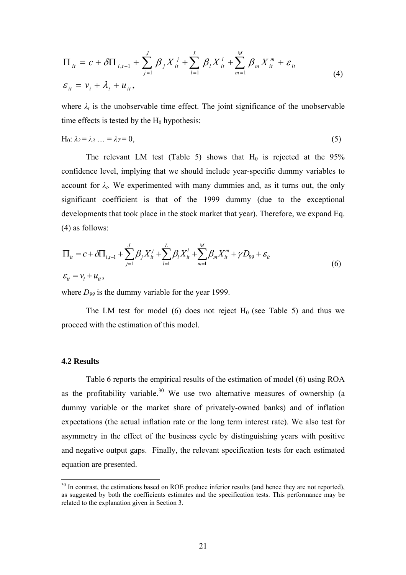$$
\Pi_{it} = c + \delta \Pi_{i,t-1} + \sum_{j=1}^{J} \beta_j X_{it}^j + \sum_{l=1}^{L} \beta_l X_{it}^l + \sum_{m=1}^{M} \beta_m X_{it}^m + \varepsilon_{it}
$$
\n
$$
\varepsilon_{it} = v_i + \lambda_t + u_{it},
$$
\n(4)

where  $\lambda_t$  is the unobservable time effect. The joint significance of the unobservable time effects is tested by the  $H_0$  hypothesis:

$$
H_0: \lambda_2 = \lambda_3 \ldots = \lambda_T = 0,\tag{5}
$$

The relevant LM test (Table 5) shows that  $H_0$  is rejected at the 95% confidence level, implying that we should include year-specific dummy variables to account for  $\lambda_t$ . We experimented with many dummies and, as it turns out, the only significant coefficient is that of the 1999 dummy (due to the exceptional developments that took place in the stock market that year). Therefore, we expand Eq. (4) as follows:

$$
\Pi_{it} = c + \delta \Pi_{i,t-1} + \sum_{j=1}^{J} \beta_j X_{it}^j + \sum_{l=1}^{L} \beta_l X_{it}^l + \sum_{m=1}^{M} \beta_m X_{it}^m + \gamma D_{99} + \varepsilon_{it}
$$
\n
$$
\varepsilon_{it} = v_i + u_{it},
$$
\n(6)

where  $D_{99}$  is the dummy variable for the year 1999.

The LM test for model (6) does not reject  $H_0$  (see Table 5) and thus we proceed with the estimation of this model.

#### **4.2 Results**

 $\overline{a}$ 

Table 6 reports the empirical results of the estimation of model (6) using ROA asthe profitability variable.<sup>30</sup> We use two alternative measures of ownership (a dummy variable or the market share of privately-owned banks) and of inflation expectations (the actual inflation rate or the long term interest rate). We also test for asymmetry in the effect of the business cycle by distinguishing years with positive and negative output gaps. Finally, the relevant specification tests for each estimated equation are presented.

<span id="page-18-0"></span> $30$  In contrast, the estimations based on ROE produce inferior results (and hence they are not reported), as suggested by both the coefficients estimates and the specification tests. This performance may be related to the explanation given in Section 3.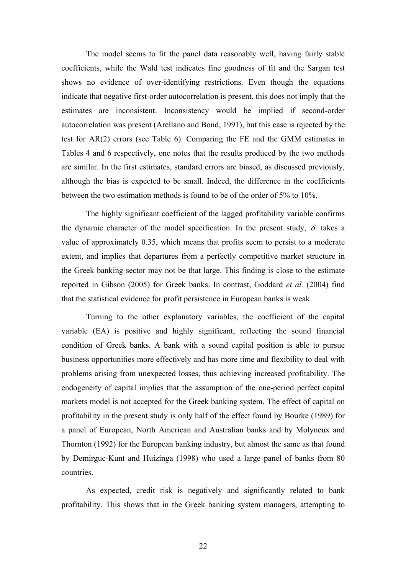The model seems to fit the panel data reasonably well, having fairly stable coefficients, while the Wald test indicates fine goodness of fit and the Sargan test shows no evidence of over-identifying restrictions. Even though the equations indicate that negative first-order autocorrelation is present, this does not imply that the estimates are inconsistent. Inconsistency would be implied if second-order autocorrelation was present (Arellano and Bond, 1991), but this case is rejected by the test for AR(2) errors (see Table 6). Comparing the FE and the GMM estimates in Tables 4 and 6 respectively, one notes that the results produced by the two methods are similar. In the first estimates, standard errors are biased, as discussed previously, although the bias is expected to be small. Indeed, the difference in the coefficients between the two estimation methods is found to be of the order of 5% to 10%.

The highly significant coefficient of the lagged profitability variable confirms the dynamic character of the model specification. In the present study,  $\delta$  takes a value of approximately 0.35, which means that profits seem to persist to a moderate extent, and implies that departures from a perfectly competitive market structure in the Greek banking sector may not be that large. This finding is close to the estimate reported in Gibson (2005) for Greek banks. In contrast, Goddard *et al.* (2004) find that the statistical evidence for profit persistence in European banks is weak.

Turning to the other explanatory variables, the coefficient of the capital variable (EA) is positive and highly significant, reflecting the sound financial condition of Greek banks. A bank with a sound capital position is able to pursue business opportunities more effectively and has more time and flexibility to deal with problems arising from unexpected losses, thus achieving increased profitability. The endogeneity of capital implies that the assumption of the one-period perfect capital markets model is not accepted for the Greek banking system. The effect of capital on profitability in the present study is only half of the effect found by Bourke (1989) for a panel of European, North American and Australian banks and by Molyneux and Thornton (1992) for the European banking industry, but almost the same as that found by Demirguc-Kunt and Huizinga (1998) who used a large panel of banks from 80 countries.

As expected, credit risk is negatively and significantly related to bank profitability. This shows that in the Greek banking system managers, attempting to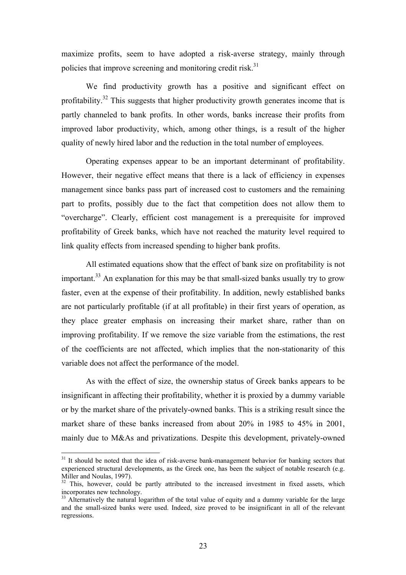maximize profits, seem to have adopted a risk-averse strategy, mainly through policies that improve screening and monitoring credit risk.<sup>31</sup>

We find productivity growth has a positive and significant effect on profitability.<sup>32</sup> This suggests that higher productivity growth generates income that is partly channeled to bank profits. In other words, banks increase their profits from improved labor productivity, which, among other things, is a result of the higher quality of newly hired labor and the reduction in the total number of employees.

Operating expenses appear to be an important determinant of profitability. However, their negative effect means that there is a lack of efficiency in expenses management since banks pass part of increased cost to customers and the remaining part to profits, possibly due to the fact that competition does not allow them to "overcharge". Clearly, efficient cost management is a prerequisite for improved profitability of Greek banks, which have not reached the maturity level required to link quality effects from increased spending to higher bank profits.

All estimated equations show that the effect of bank size on profitability is not important.<sup>33</sup> An explanation for this may be that small-sized banks usually try to grow faster, even at the expense of their profitability. In addition, newly established banks are not particularly profitable (if at all profitable) in their first years of operation, as they place greater emphasis on increasing their market share, rather than on improving profitability. If we remove the size variable from the estimations, the rest of the coefficients are not affected, which implies that the non-stationarity of this variable does not affect the performance of the model.

As with the effect of size, the ownership status of Greek banks appears to be insignificant in affecting their profitability, whether it is proxied by a dummy variable or by the market share of the privately-owned banks. This is a striking result since the market share of these banks increased from about 20% in 1985 to 45% in 2001, mainly due to M&As and privatizations. Despite this development, privately-owned

<span id="page-20-0"></span> $31$  It should be noted that the idea of risk-averse bank-management behavior for banking sectors that experienced structural developments, as the Greek one, has been the subject of notable research (e.g. Miller and Noulas, 1997).

<span id="page-20-1"></span> $32$  This, however, could be partly attributed to the increased investment in fixed assets, which incorporates new technology.

<span id="page-20-2"></span> $33$  Alternatively the natural logarithm of the total value of equity and a dummy variable for the large and the small-sized banks were used. Indeed, size proved to be insignificant in all of the relevant regressions.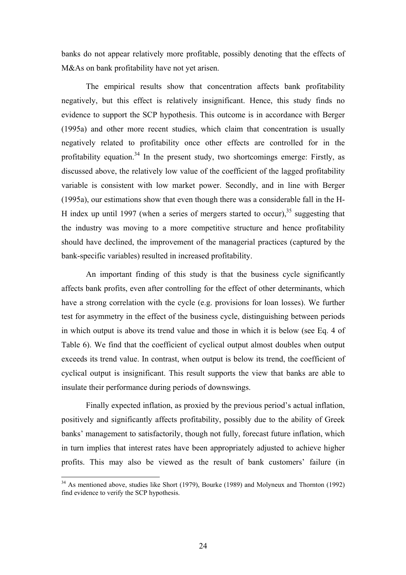banks do not appear relatively more profitable, possibly denoting that the effects of M&As on bank profitability have not yet arisen.

The empirical results show that concentration affects bank profitability negatively, but this effect is relatively insignificant. Hence, this study finds no evidence to support the SCP hypothesis. This outcome is in accordance with Berger (1995a) and other more recent studies, which claim that concentration is usually negatively related to profitability once other effects are controlled for in the profitability equation.<sup>34</sup> In the present study, two shortcomings emerge: Firstly, as discussed above, the relatively low value of the coefficient of the lagged profitability variable is consistent with low market power. Secondly, and in line with Berger (1995a), our estimations show that even though there was a considerable fall in the H-H index up until 1997 (when a series of mergers started to occur).<sup>35</sup> suggesting that the industry was moving to a more competitive structure and hence profitability should have declined, the improvement of the managerial practices (captured by the bank-specific variables) resulted in increased profitability.

An important finding of this study is that the business cycle significantly affects bank profits, even after controlling for the effect of other determinants, which have a strong correlation with the cycle (e.g. provisions for loan losses). We further test for asymmetry in the effect of the business cycle, distinguishing between periods in which output is above its trend value and those in which it is below (see Eq. 4 of Table 6). We find that the coefficient of cyclical output almost doubles when output exceeds its trend value. In contrast, when output is below its trend, the coefficient of cyclical output is insignificant. This result supports the view that banks are able to insulate their performance during periods of downswings.

Finally expected inflation, as proxied by the previous period's actual inflation, positively and significantly affects profitability, possibly due to the ability of Greek banks' management to satisfactorily, though not fully, forecast future inflation, which in turn implies that interest rates have been appropriately adjusted to achieve higher profits. This may also be viewed as the result of bank customers' failure (in

<span id="page-21-1"></span><span id="page-21-0"></span> $34$  As mentioned above, studies like Short (1979), Bourke (1989) and Molyneux and Thornton (1992) find evidence to verify the SCP hypothesis.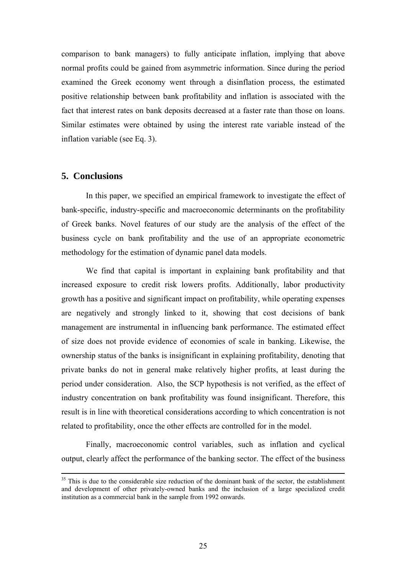comparison to bank managers) to fully anticipate inflation, implying that above normal profits could be gained from asymmetric information. Since during the period examined the Greek economy went through a disinflation process, the estimated positive relationship between bank profitability and inflation is associated with the fact that interest rates on bank deposits decreased at a faster rate than those on loans. Similar estimates were obtained by using the interest rate variable instead of the inflation variable (see Eq. 3).

## **5. Conclusions**

In this paper, we specified an empirical framework to investigate the effect of bank-specific, industry-specific and macroeconomic determinants on the profitability of Greek banks. Novel features of our study are the analysis of the effect of the business cycle on bank profitability and the use of an appropriate econometric methodology for the estimation of dynamic panel data models.

We find that capital is important in explaining bank profitability and that increased exposure to credit risk lowers profits. Additionally, labor productivity growth has a positive and significant impact on profitability, while operating expenses are negatively and strongly linked to it, showing that cost decisions of bank management are instrumental in influencing bank performance. The estimated effect of size does not provide evidence of economies of scale in banking. Likewise, the ownership status of the banks is insignificant in explaining profitability, denoting that private banks do not in general make relatively higher profits, at least during the period under consideration. Also, the SCP hypothesis is not verified, as the effect of industry concentration on bank profitability was found insignificant. Therefore, this result is in line with theoretical considerations according to which concentration is not related to profitability, once the other effects are controlled for in the model.

Finally, macroeconomic control variables, such as inflation and cyclical output, clearly affect the performance of the banking sector. The effect of the business

<sup>&</sup>lt;sup>35</sup> This is due to the considerable size reduction of the dominant bank of the sector, the establishment and development of other privately-owned banks and the inclusion of a large specialized credit institution as a commercial bank in the sample from 1992 onwards.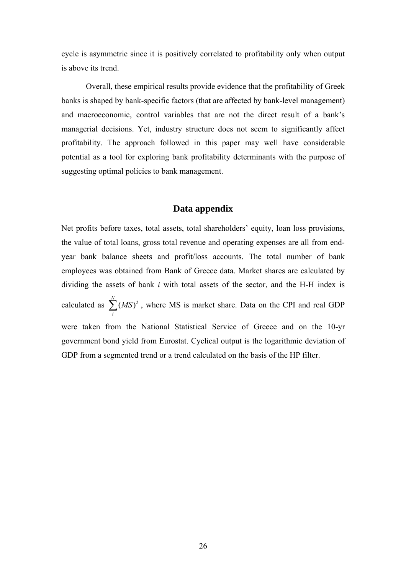cycle is asymmetric since it is positively correlated to profitability only when output is above its trend.

Overall, these empirical results provide evidence that the profitability of Greek banks is shaped by bank-specific factors (that are affected by bank-level management) and macroeconomic, control variables that are not the direct result of a bank's managerial decisions. Yet, industry structure does not seem to significantly affect profitability. The approach followed in this paper may well have considerable potential as a tool for exploring bank profitability determinants with the purpose of suggesting optimal policies to bank management.

## **Data appendix**

Net profits before taxes, total assets, total shareholders' equity, loan loss provisions, the value of total loans, gross total revenue and operating expenses are all from endyear bank balance sheets and profit/loss accounts. The total number of bank employees was obtained from Bank of Greece data. Market shares are calculated by dividing the assets of bank *i* with total assets of the sector, and the H-H index is calculated as  $\sum_{i=1}^{N} (MS)^2$  $\sum_i (MS)^2$ , where MS is market share. Data on the CPI and real GDP were taken from the National Statistical Service of Greece and on the 10-yr government bond yield from Eurostat. Cyclical output is the logarithmic deviation of GDP from a segmented trend or a trend calculated on the basis of the HP filter.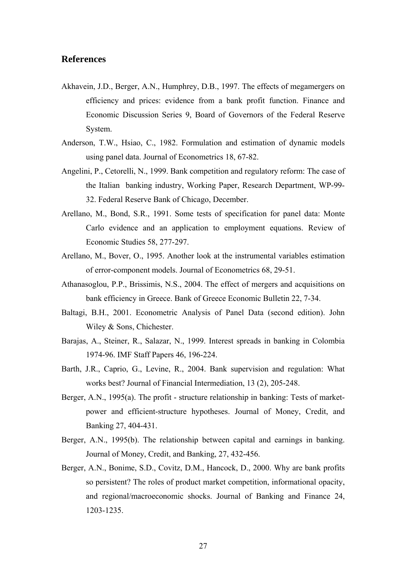## **References**

- Akhavein, J.D., Berger, A.N., Humphrey, D.B., 1997. The effects of megamergers on efficiency and prices: evidence from a bank profit function. Finance and Economic Discussion Series 9, Board of Governors of the Federal Reserve System.
- Anderson, T.W., Hsiao, C., 1982. Formulation and estimation of dynamic models using panel data. Journal of Econometrics 18, 67-82.
- Angelini, P., Cetorelli, N., 1999. Bank competition and regulatory reform: The case of the Italian banking industry, Working Paper, Research Department, WP-99- 32. Federal Reserve Bank of Chicago, December.
- Arellano, M., Bond, S.R., 1991. Some tests of specification for panel data: Monte Carlo evidence and an application to employment equations. Review of Economic Studies 58, 277-297.
- Arellano, M., Bover, O., 1995. Another look at the instrumental variables estimation of error-component models. Journal of Econometrics 68, 29-51.
- Athanasoglou, P.P., Brissimis, N.S., 2004. The effect of mergers and acquisitions on bank efficiency in Greece. Bank of Greece Economic Bulletin 22, 7-34.
- Baltagi, B.H., 2001. Econometric Analysis of Panel Data (second edition). John Wiley & Sons, Chichester.
- Barajas, A., Steiner, R., Salazar, N., 1999. Interest spreads in banking in Colombia 1974-96. IMF Staff Papers 46, 196-224.
- Barth, J.R., Caprio, G., Levine, R., 2004. Bank supervision and regulation: What works best? Journal of Financial Intermediation, 13 (2), 205-248.
- Berger, A.N., 1995(a). The profit structure relationship in banking: Tests of marketpower and efficient-structure hypotheses. Journal of Money, Credit, and Banking 27, 404-431.
- Berger, A.N., 1995(b). The relationship between capital and earnings in banking. Journal of Money, Credit, and Banking, 27, 432-456.
- Berger, A.N., Bonime, S.D., Covitz, D.M., Hancock, D., 2000. Why are bank profits so persistent? The roles of product market competition, informational opacity, and regional/macroeconomic shocks. Journal of Banking and Finance 24, 1203-1235.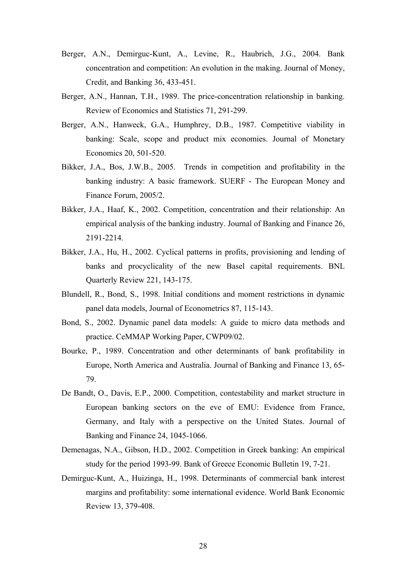- Berger, A.N., Demirguc-Kunt, A., Levine, R., Haubrich, J.G., 2004. Bank concentration and competition: An evolution in the making. Journal of Money, Credit, and Banking 36, 433-451.
- Berger, A.N., Hannan, T.H., 1989. The price-concentration relationship in banking. Review of Economics and Statistics 71, 291-299.
- Berger, A.N., Hanweck, G.A., Humphrey, D.B., 1987. Competitive viability in banking: Scale, scope and product mix economies. Journal of Monetary Economics 20, 501-520.
- Bikker, J.A., Bos, J.W.B., 2005. Trends in competition and profitability in the banking industry: A basic framework. SUERF - The European Money and Finance Forum, 2005/2.
- Bikker, J.A., Haaf, K., 2002. Competition, concentration and their relationship: An empirical analysis of the banking industry. Journal of Banking and Finance 26, 2191-2214.
- Bikker, J.A., Hu, H., 2002. Cyclical patterns in profits, provisioning and lending of banks and procyclicality of the new Basel capital requirements. BNL Quarterly Review 221, 143-175.
- Blundell, R., Bond, S., 1998. Initial conditions and moment restrictions in dynamic panel data models, Journal of Econometrics 87, 115-143.
- Bond, S., 2002. Dynamic panel data models: A guide to micro data methods and practice. CeMMAP Working Paper, CWP09/02.
- Bourke, P., 1989. Concentration and other determinants of bank profitability in Europe, North America and Australia. Journal of Banking and Finance 13, 65- 79.
- De Bandt, O., Davis, E.P., 2000. Competition, contestability and market structure in European banking sectors on the eve of EMU: Evidence from France, Germany, and Italy with a perspective on the United States. Journal of Banking and Finance 24, 1045-1066.
- Demenagas, N.A., Gibson, H.D., 2002. Competition in Greek banking: An empirical study for the period 1993-99. Bank of Greece Economic Bulletin 19, 7-21.
- Demirguc-Kunt, A., Huizinga, H., 1998. Determinants of commercial bank interest margins and profitability: some international evidence. World Bank Economic Review 13, 379-408.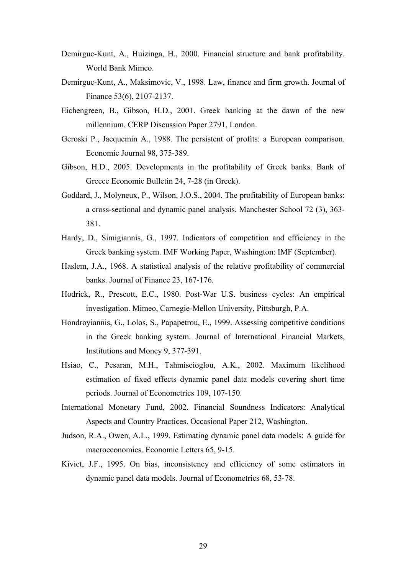- Demirguc-Kunt, A., Huizinga, H., 2000. Financial structure and bank profitability. World Bank Mimeo.
- Demirguc-Kunt, A., Maksimovic, V., 1998. Law, finance and firm growth. Journal of Finance 53(6), 2107-2137.
- Eichengreen, B., Gibson, H.D., 2001. Greek banking at the dawn of the new millennium. CERP Discussion Paper 2791, London.
- Geroski P., Jacquemin A., 1988. The persistent of profits: a European comparison. Economic Journal 98, 375-389.
- Gibson, H.D., 2005. Developments in the profitability of Greek banks. Bank of Greece Economic Bulletin 24, 7-28 (in Greek).
- Goddard, J., Molyneux, P., Wilson, J.O.S., 2004. The profitability of European banks: a cross-sectional and dynamic panel analysis. Manchester School 72 (3), 363- 381.
- Hardy, D., Simigiannis, G., 1997. Indicators of competition and efficiency in the Greek banking system. IMF Working Paper, Washington: IMF (September).
- Haslem, J.A., 1968. A statistical analysis of the relative profitability of commercial banks. Journal of Finance 23, 167-176.
- Hodrick, R., Prescott, E.C., 1980. Post-War U.S. business cycles: An empirical investigation. Mimeo, Carnegie-Mellon University, Pittsburgh, P.A.
- Hondroyiannis, G., Lolos, S., Papapetrou, E., 1999. Assessing competitive conditions in the Greek banking system. Journal of International Financial Markets, Institutions and Money 9, 377-391.
- Hsiao, C., Pesaran, M.H., Tahmiscioglou, A.K., 2002. Maximum likelihood estimation of fixed effects dynamic panel data models covering short time periods. Journal of Econometrics 109, 107-150.
- International Monetary Fund, 2002. Financial Soundness Indicators: Analytical Aspects and Country Practices. Occasional Paper 212, Washington.
- Judson, R.A., Owen, A.L., 1999. Estimating dynamic panel data models: A guide for macroeconomics. Economic Letters 65, 9-15.
- Kiviet, J.F., 1995. On bias, inconsistency and efficiency of some estimators in dynamic panel data models. Journal of Econometrics 68, 53-78.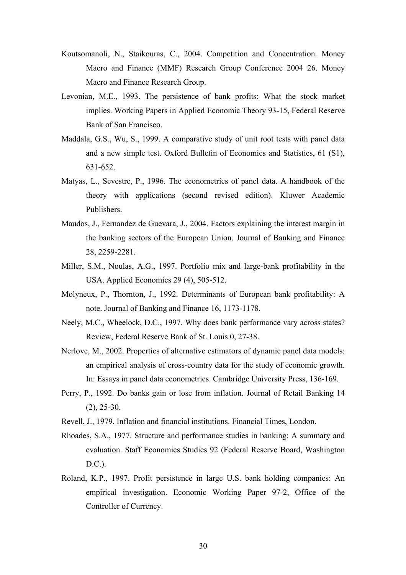- Koutsomanoli, N., Staikouras, C., 2004. [Competition and Concentration.](http://ideas.repec.org/p/mmf/mmfc04/26.html) [Money](http://ideas.repec.org/s/mmf/mmfc04.html)  [Macro and Finance \(MMF\) Research Group Conference 2004](http://ideas.repec.org/s/mmf/mmfc04.html) 26. Money Macro and Finance Research Group.
- Levonian, M.E., 1993. The persistence of bank profits: What the stock market implies. Working Papers in Applied Economic Theory 93-15, Federal Reserve Bank of San Francisco.
- Maddala, G.S., Wu, S., 1999. A comparative study of unit root tests with panel data and a new simple test. Oxford Bulletin of Economics and Statistics, 61 (S1), 631-652.
- Matyas, L., Sevestre, P., 1996. The econometrics of panel data. A handbook of the theory with applications (second revised edition). Kluwer Academic Publishers.
- Maudos, J., Fernandez de Guevara, J., 2004. Factors explaining the interest margin in the banking sectors of the European Union. Journal of Banking and Finance 28, 2259-2281.
- Miller, S.M., Noulas, A.G., 1997. Portfolio mix and large-bank profitability in the USA. Applied Economics 29 (4), 505-512.
- Molyneux, P., Thornton, J., 1992. Determinants of European bank profitability: A note. Journal of Banking and Finance 16, 1173-1178.
- Neely, M.C., Wheelock, D.C., 1997. Why does bank performance vary across states? Review, Federal Reserve Bank of St. Louis 0, 27-38.
- Nerlove, M., 2002. Properties of alternative estimators of dynamic panel data models: an empirical analysis of cross-country data for the study of economic growth. In: Essays in panel data econometrics. Cambridge University Press, 136-169.
- Perry, P., 1992. Do banks gain or lose from inflation. Journal of Retail Banking 14  $(2)$ ,  $25-30$ .
- Revell, J., 1979. Inflation and financial institutions. Financial Times, London.
- Rhoades, S.A., 1977. Structure and performance studies in banking: A summary and evaluation. Staff Economics Studies 92 (Federal Reserve Board, Washington D.C.).
- Roland, K.P., 1997. Profit persistence in large U.S. bank holding companies: An empirical investigation. Economic Working Paper 97-2, Office of the Controller of Currency.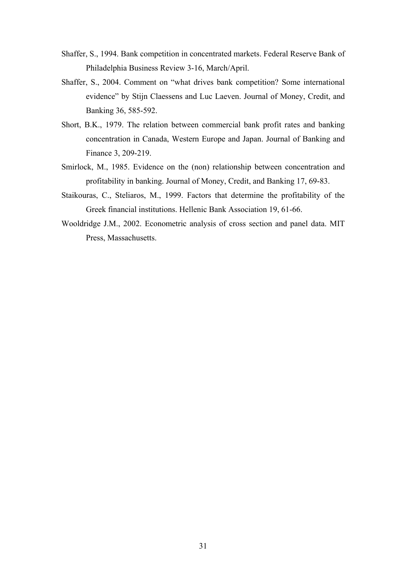- Shaffer, S., 1994. Bank competition in concentrated markets. Federal Reserve Bank of Philadelphia Business Review 3-16, March/April.
- Shaffer, S., 2004. Comment on "what drives bank competition? Some international evidence" by Stijn Claessens and Luc Laeven. Journal of Money, Credit, and Banking 36, 585-592.
- Short, B.K., 1979. The relation between commercial bank profit rates and banking concentration in Canada, Western Europe and Japan. Journal of Banking and Finance 3, 209-219.
- Smirlock, M., 1985. Evidence on the (non) relationship between concentration and profitability in banking. Journal of Money, Credit, and Banking 17, 69-83.
- Staikouras, C., Steliaros, M., 1999. Factors that determine the profitability of the Greek financial institutions. Hellenic Bank Association 19, 61-66.
- Wooldridge J.M., 2002. Econometric analysis of cross section and panel data. MIT Press, Massachusetts.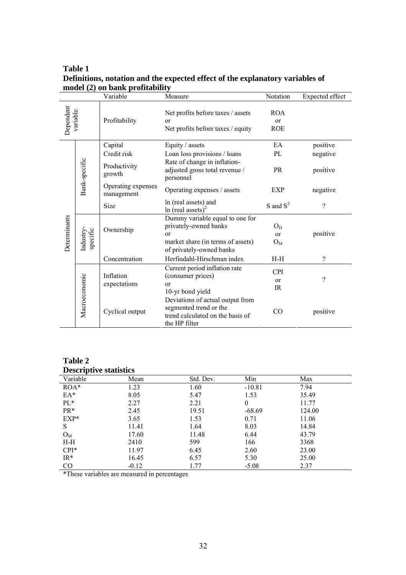## **Table 1 Definitions, notation and the expected effect of the explanatory variables of model (2) on bank profitability**

|                       |                      | Variable                         | Measure                                                                                                                                 | Notation                                  | Expected effect |
|-----------------------|----------------------|----------------------------------|-----------------------------------------------------------------------------------------------------------------------------------------|-------------------------------------------|-----------------|
| Dependent<br>variable |                      | Profitability                    | Net profits before taxes / assets<br><sub>or</sub><br>Net profits before taxes / equity                                                 | <b>ROA</b><br><sub>or</sub><br><b>ROE</b> |                 |
|                       |                      | Capital                          | Equity / assets                                                                                                                         | EA                                        | positive        |
|                       | Bank-specific        | Credit risk                      | Loan loss provisions / loans                                                                                                            | PL                                        | negative        |
| Determinants          |                      | Productivity<br>growth           | Rate of change in inflation-<br>adjusted gross total revenue /<br>personnel                                                             | <b>PR</b>                                 | positive        |
|                       |                      | Operating expenses<br>management | Operating expenses / assets                                                                                                             | negative                                  |                 |
|                       |                      | <b>Size</b>                      | In (real assets) and<br>In (real assets) <sup>2</sup>                                                                                   | S and $S^2$                               | $\gamma$        |
|                       | specific<br>Industry | Ownership                        | Dummy variable equal to one for<br>privately-owned banks<br>$\alpha$ r<br>market share (in terms of assets)<br>of privately-owned banks | $O_D$<br><sub>or</sub><br>$O_{M}$         | positive        |
|                       |                      | Concentration                    | Herfindahl-Hirschman index                                                                                                              | $H-H$                                     | $\gamma$        |
|                       | Macroeconomic        | Inflation<br>expectations        | Current period inflation rate<br>(consumer prices)<br><sub>or</sub><br>10-yr bond yield                                                 | <b>CPI</b><br>or<br><b>IR</b>             | $\gamma$        |
|                       |                      | Cyclical output                  | Deviations of actual output from<br>segmented trend or the<br>trend calculated on the basis of<br>the HP filter                         | CO                                        | positive        |

## **Table 2 Descriptive statistics**

| Deser Iper ve beatholies |         |           |          |        |  |  |  |
|--------------------------|---------|-----------|----------|--------|--|--|--|
| Variable                 | Mean    | Std. Dev. | Min      | Max    |  |  |  |
| $ROA*$                   | 1.23    | 1.60      | $-10.81$ | 7.94   |  |  |  |
| $EA*$                    | 8.05    | 5.47      | 1.53     | 35.49  |  |  |  |
| $PL*$                    | 2.27    | 2.21      | $\Omega$ | 11.77  |  |  |  |
| $PR*$                    | 2.45    | 19.51     | $-68.69$ | 124.00 |  |  |  |
| $EXP*$                   | 3.65    | 1.53      | 0.71     | 11.06  |  |  |  |
| S                        | 11.41   | 1.64      | 8.03     | 14.84  |  |  |  |
| $O_{M}$                  | 17.60   | 11.48     | 6.44     | 43.79  |  |  |  |
| $H-H$                    | 2410    | 599       | 166      | 3368   |  |  |  |
| $CPI^*$                  | 11.97   | 6.45      | 2.60     | 23.00  |  |  |  |
| $IR*$                    | 16.45   | 6.57      | 5.30     | 25.00  |  |  |  |
| $_{\rm CO}$              | $-0.12$ | 1.77      | $-5.08$  | 2.37   |  |  |  |

\*These variables are measured in percentages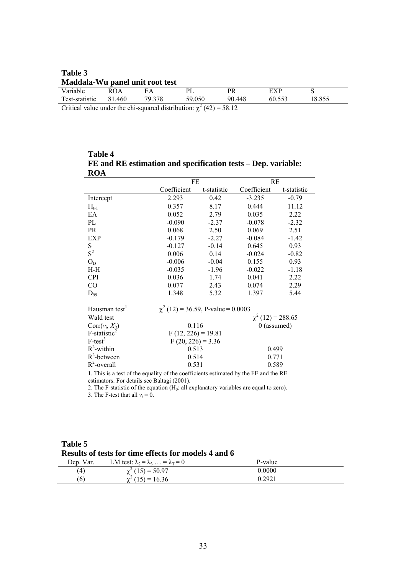| Table 3                         |        |        |        |        |        |        |  |  |  |
|---------------------------------|--------|--------|--------|--------|--------|--------|--|--|--|
| Maddala-Wu panel unit root test |        |        |        |        |        |        |  |  |  |
| Variable                        | ROA    | EА     | PL     | PR     | EXP    |        |  |  |  |
| Test-statistic                  | 81.460 | 79 378 | 59.050 | 90.448 | 60.553 | 18.855 |  |  |  |
|                                 |        |        |        |        |        |        |  |  |  |

Critical value under the chi-squared distribution:  $\chi^2$  (42) = 58.12

**Table 4 FE and RE estimation and specification tests – Dep. variable: ROA**

| $\cdots$                    | FE                                      |                       | RE            |             |  |  |
|-----------------------------|-----------------------------------------|-----------------------|---------------|-------------|--|--|
|                             | Coefficient                             | t-statistic           | Coefficient   | t-statistic |  |  |
| Intercept                   | 2.293                                   | 0.42                  | $-3.235$      | $-0.79$     |  |  |
| $\Pi_{t-1}$                 | 0.357                                   | 8.17                  | 0.444         | 11.12       |  |  |
| EA                          | 0.052                                   | 2.79                  | 0.035         | 2.22        |  |  |
| PL                          | $-0.090$                                | $-2.37$               | $-0.078$      | $-2.32$     |  |  |
| PR                          | 0.068                                   | 2.50                  | 0.069         | 2.51        |  |  |
| EXP                         | $-0.179$                                | $-2.27$               | $-0.084$      | $-1.42$     |  |  |
| S                           | $-0.127$                                | $-0.14$               | 0.645         | 0.93        |  |  |
| $S^2$                       | 0.006                                   | 0.14                  | $-0.024$      | $-0.82$     |  |  |
| $O_D$                       | $-0.006$                                | $-0.04$               | 0.155         | 0.93        |  |  |
| $H-H$                       | $-0.035$                                | $-1.96$               | $-0.022$      | $-1.18$     |  |  |
| <b>CPI</b>                  | 0.036                                   | 1.74                  | 0.041         | 2.22        |  |  |
| CO                          | 0.077                                   | 2.43                  | 0.074         | 2.29        |  |  |
| $D_{99}$                    | 1.348                                   | 5.32                  | 1.397         | 5.44        |  |  |
| Hausman test <sup>1</sup>   | $\chi^2$ (12) = 36.59, P-value = 0.0003 |                       |               |             |  |  |
| Wald test                   |                                         | $\chi^2(12) = 288.65$ |               |             |  |  |
| $Corr(v_i, X_{it})$         | 0.116                                   |                       | $0$ (assumed) |             |  |  |
| $F$ -statistic <sup>2</sup> | $F(12, 226) = 19.81$                    |                       |               |             |  |  |
| $F-test^3$                  | $F(20, 226) = 3.36$                     |                       |               |             |  |  |
| $R^2$ -within               | 0.513                                   |                       | 0.499         |             |  |  |
| $R^2$ -between              |                                         | 0.514                 |               | 0.771       |  |  |
| $R^2$ -overall              |                                         | 0.531<br>0.589        |               |             |  |  |

1. This is a test of the equality of the coefficients estimated by the FE and the RE estimators. For details see Baltagi (2001).

2. The F-statistic of the equation  $(H_0:$  all explanatory variables are equal to zero).

3. The F-test that all  $v_i = 0$ .

**Table 5 Results of tests for time effects for models 4 and 6**

| Dep. Var. | LM test: $\lambda_2 = \lambda_3  = \lambda_T = 0$ | P-value |
|-----------|---------------------------------------------------|---------|
| (4)       | $\chi^2$ (15) = 50.97                             | 0.0000  |
| (6)       | $\chi^2(15) = 16.36$                              | 0.2921  |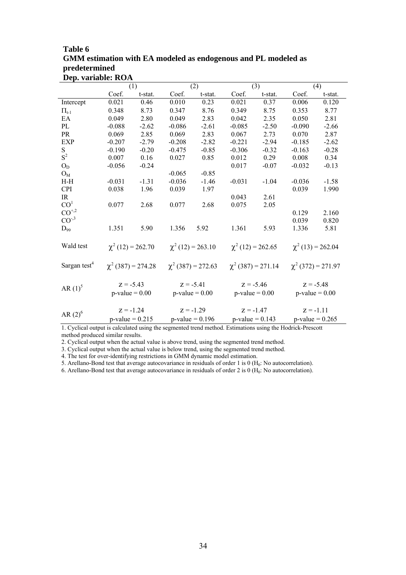| GMM estimation with EA modeled as endogenous and PL modeled as |          |         |          |         |          |         |          |         |  |
|----------------------------------------------------------------|----------|---------|----------|---------|----------|---------|----------|---------|--|
| predetermined                                                  |          |         |          |         |          |         |          |         |  |
| Dep. variable: ROA                                             |          |         |          |         |          |         |          |         |  |
|                                                                |          | (1)     |          | (2)     |          | (3)     |          | (4)     |  |
|                                                                | Coef.    | t-stat. | Coef.    | t-stat. | Coef.    | t-stat. | Coef.    | t-stat. |  |
| Intercept                                                      | 0.021    | 0.46    | 0.010    | 0.23    | 0.021    | 0.37    | 0.006    | 0.120   |  |
| $\Pi_{t-1}$                                                    | 0.348    | 8.73    | 0.347    | 8.76    | 0.349    | 8.75    | 0.353    | 8.77    |  |
| EA                                                             | 0.049    | 2.80    | 0.049    | 2.83    | 0.042    | 2.35    | 0.050    | 2.81    |  |
| PL                                                             | $-0.088$ | $-2.62$ | $-0.086$ | $-2.61$ | $-0.085$ | $-2.50$ | $-0.090$ | $-2.66$ |  |
| <b>PR</b>                                                      | 0.069    | 2.85    | 0.069    | 2.83    | 0.067    | 2.73    | 0.070    | 2.87    |  |
| <b>EXP</b>                                                     | $-0.207$ | $-2.79$ | $-0.208$ | $-2.82$ | $-0.221$ | $-2.94$ | $-0.185$ | $-2.62$ |  |
| S.                                                             | $-0.190$ | $-0.20$ | $-0.475$ | $-0.85$ | $-0.306$ | $-0.32$ | $-0.163$ | $-0.28$ |  |
| $S^2$                                                          | 0.007    | 0.16    | 0.027    | 0.85    | 0.012    | 0.29    | 0.008    | 0.34    |  |
| $O_D$                                                          | $-0.056$ | $-0.24$ |          |         | 0.017    | $-0.07$ | $-0.032$ | $-0.13$ |  |
| $O_{M}$                                                        |          |         | $-0.065$ | $-0.85$ |          |         |          |         |  |
| $H-H$                                                          | $-0.031$ | $-1.31$ | $-0.036$ | $-1.46$ | $-0.031$ | $-1.04$ | $-0.036$ | $-1.58$ |  |
| <b>CPI</b>                                                     | 0.038    | 1.96    | 0.039    | 1.97    |          |         | 0.039    | 1.990   |  |
| IR                                                             |          |         |          |         | 0.043    | 2.61    |          |         |  |
| CO <sup>1</sup>                                                | 0.077    | 2.68    | 0.077    | 2.68    | 0.075    | 2.05    |          |         |  |
| $CO+2$                                                         |          |         |          |         |          |         | 0.129    | 2.160   |  |

<sup>99</sup><sup>B</sup> 1.351 5.90 1.356 5.92 1.361 5.93 1.336 5.81

<sup>2</sup> (12) = 263.10 γ

<sup>2</sup> (387) = 272.63 γ

0.039 0.820

 $p-value = 0.00$   $p-value = 0.00$   $p-value = 0.00$   $p-value = 0.00$   $p-value = 0.00$ 

 $p-value = 0.215$   $p-value = 0.196$   $p-value = 0.143$   $p-value = 0.265$ 

<sup>2</sup> (12) = 262.65  $\gamma$ 

<sup>2</sup> (387) = 271.14 γ

 $^{2}$  (13) = 262.04

 $2(372) = 271.97$ 

# **Table 6 GMM estimation with EA modeled as endogenous and PL modeled as**

1. Cyclical output is calculated using the segmented trend method. Estimations using the Hodrick-Prescott method produced similar results.

AR  $(1)^5$   $Z = -5.43$   $Z = -5.41$   $Z = -5.46$   $Z = -5.48$   $Z = -5.48$ 

AR  $(2)^6$   $Z = -1.24$   $Z = -1.29$   $Z = -1.47$   $Z = -1.11$ 

2. Cyclical output when the actual value is above trend, using the segmented trend method.

3. Cyclical output when the actual value is below trend, using the segmented trend method.

4. The test for over-identifying restrictions in GMM dynamic model estimation.

<sup>2</sup> (12) = 262.70  $\chi$ 

 $\chi^2$  (387) = 274.28  $\chi$ 

 $CO^{-3}$ 

Wald test

Sargan test<sup>4</sup>

5 P

6 P

 $D_{99}$ 

5. Arellano-Bond test that average autocovariance in residuals of order 1 is  $0 \, (\text{H}_0: \text{No autocorrelation})$ .

6. Arellano-Bond test that average autocovariance in residuals of order  $2$  is  $0$  ( $H<sub>0</sub>$ : No autocorrelation).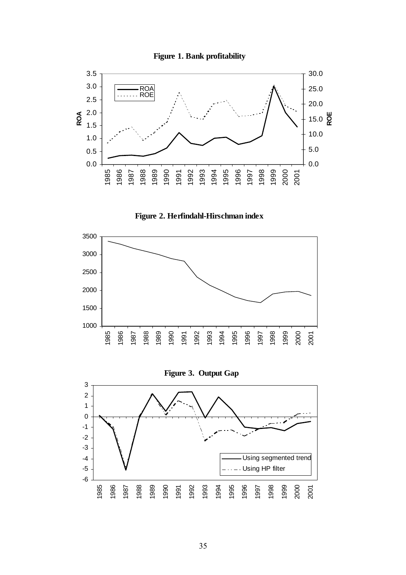









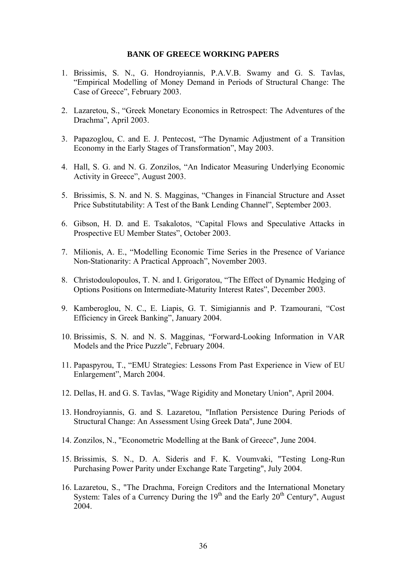#### **BANK OF GREECE WORKING PAPERS**

- 1. Brissimis, S. N., G. Hondroyiannis, P.A.V.B. Swamy and G. S. Tavlas, "Empirical Modelling of Money Demand in Periods of Structural Change: The Case of Greece", February 2003.
- 2. Lazaretou, S., "Greek Monetary Economics in Retrospect: The Adventures of the Drachma", April 2003.
- 3. Papazoglou, C. and E. J. Pentecost, "The Dynamic Adjustment of a Transition Economy in the Early Stages of Transformation", May 2003.
- 4. Hall, S. G. and N. G. Zonzilos, "An Indicator Measuring Underlying Economic Activity in Greece", August 2003.
- 5. Brissimis, S. N. and N. S. Magginas, "Changes in Financial Structure and Asset Price Substitutability: A Test of the Bank Lending Channel", September 2003.
- 6. Gibson, H. D. and E. Tsakalotos, "Capital Flows and Speculative Attacks in Prospective EU Member States", October 2003.
- 7. Milionis, A. E., "Modelling Economic Time Series in the Presence of Variance Non-Stationarity: A Practical Approach", November 2003.
- 8. Christodoulopoulos, T. N. and I. Grigoratou, "The Effect of Dynamic Hedging of Options Positions on Intermediate-Maturity Interest Rates", December 2003.
- 9. Kamberoglou, N. C., E. Liapis, G. T. Simigiannis and P. Tzamourani, "Cost Efficiency in Greek Banking", January 2004.
- 10. Brissimis, S. N. and N. S. Magginas, "Forward-Looking Information in VAR Models and the Price Puzzle", February 2004.
- 11. Papaspyrou, T., "EMU Strategies: Lessons From Past Experience in View of EU Enlargement", March 2004.
- 12. Dellas, H. and G. S. Tavlas, "Wage Rigidity and Monetary Union", April 2004.
- 13. Hondroyiannis, G. and S. Lazaretou, "Inflation Persistence During Periods of Structural Change: An Assessment Using Greek Data", June 2004.
- 14. Zonzilos, N., "Econometric Modelling at the Bank of Greece", June 2004.
- 15. Brissimis, S. N., D. A. Sideris and F. K. Voumvaki, "Testing Long-Run Purchasing Power Parity under Exchange Rate Targeting", July 2004.
- 16. Lazaretou, S., "The Drachma, Foreign Creditors and the International Monetary System: Tales of a Currency During the  $19<sup>th</sup>$  and the Early  $20<sup>th</sup>$  Century", August 2004.